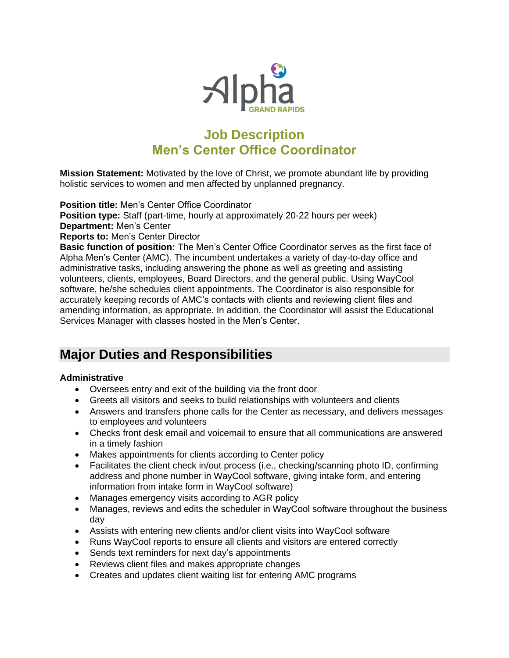

# **Job Description Men's Center Office Coordinator**

**Mission Statement:** Motivated by the love of Christ, we promote abundant life by providing holistic services to women and men affected by unplanned pregnancy.

**Position title:** Men's Center Office Coordinator

**Position type:** Staff (part-time, hourly at approximately 20-22 hours per week) **Department:** Men's Center

**Reports to:** Men's Center Director

**Basic function of position:** The Men's Center Office Coordinator serves as the first face of Alpha Men's Center (AMC). The incumbent undertakes a variety of day-to-day office and administrative tasks, including answering the phone as well as greeting and assisting volunteers, clients, employees, Board Directors, and the general public. Using WayCool software, he/she schedules client appointments. The Coordinator is also responsible for accurately keeping records of AMC's contacts with clients and reviewing client files and amending information, as appropriate. In addition, the Coordinator will assist the Educational Services Manager with classes hosted in the Men's Center.

# **Major Duties and Responsibilities**

### **Administrative**

- Oversees entry and exit of the building via the front door
- Greets all visitors and seeks to build relationships with volunteers and clients
- Answers and transfers phone calls for the Center as necessary, and delivers messages to employees and volunteers
- Checks front desk email and voicemail to ensure that all communications are answered in a timely fashion
- Makes appointments for clients according to Center policy
- Facilitates the client check in/out process (i.e., checking/scanning photo ID, confirming address and phone number in WayCool software, giving intake form, and entering information from intake form in WayCool software)
- Manages emergency visits according to AGR policy
- Manages, reviews and edits the scheduler in WayCool software throughout the business day
- Assists with entering new clients and/or client visits into WayCool software
- Runs WayCool reports to ensure all clients and visitors are entered correctly
- Sends text reminders for next day's appointments
- Reviews client files and makes appropriate changes
- Creates and updates client waiting list for entering AMC programs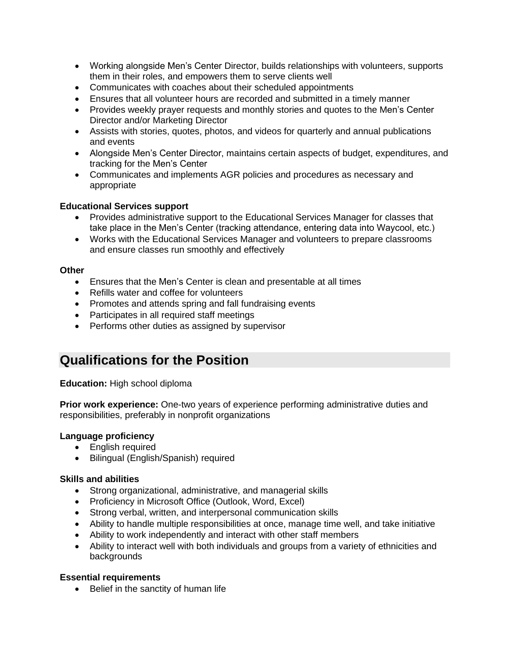- Working alongside Men's Center Director, builds relationships with volunteers, supports them in their roles, and empowers them to serve clients well
- Communicates with coaches about their scheduled appointments
- Ensures that all volunteer hours are recorded and submitted in a timely manner
- Provides weekly prayer requests and monthly stories and quotes to the Men's Center Director and/or Marketing Director
- Assists with stories, quotes, photos, and videos for quarterly and annual publications and events
- Alongside Men's Center Director, maintains certain aspects of budget, expenditures, and tracking for the Men's Center
- Communicates and implements AGR policies and procedures as necessary and appropriate

#### **Educational Services support**

- Provides administrative support to the Educational Services Manager for classes that take place in the Men's Center (tracking attendance, entering data into Waycool, etc.)
- Works with the Educational Services Manager and volunteers to prepare classrooms and ensure classes run smoothly and effectively

#### **Other**

- Ensures that the Men's Center is clean and presentable at all times
- Refills water and coffee for volunteers
- Promotes and attends spring and fall fundraising events
- Participates in all required staff meetings
- Performs other duties as assigned by supervisor

## **Qualifications for the Position**

**Education:** High school diploma

**Prior work experience:** One-two years of experience performing administrative duties and responsibilities, preferably in nonprofit organizations

### **Language proficiency**

- English required
- Bilingual (English/Spanish) required

#### **Skills and abilities**

- Strong organizational, administrative, and managerial skills
- Proficiency in Microsoft Office (Outlook, Word, Excel)
- Strong verbal, written, and interpersonal communication skills
- Ability to handle multiple responsibilities at once, manage time well, and take initiative
- Ability to work independently and interact with other staff members
- Ability to interact well with both individuals and groups from a variety of ethnicities and backgrounds

### **Essential requirements**

• Belief in the sanctity of human life